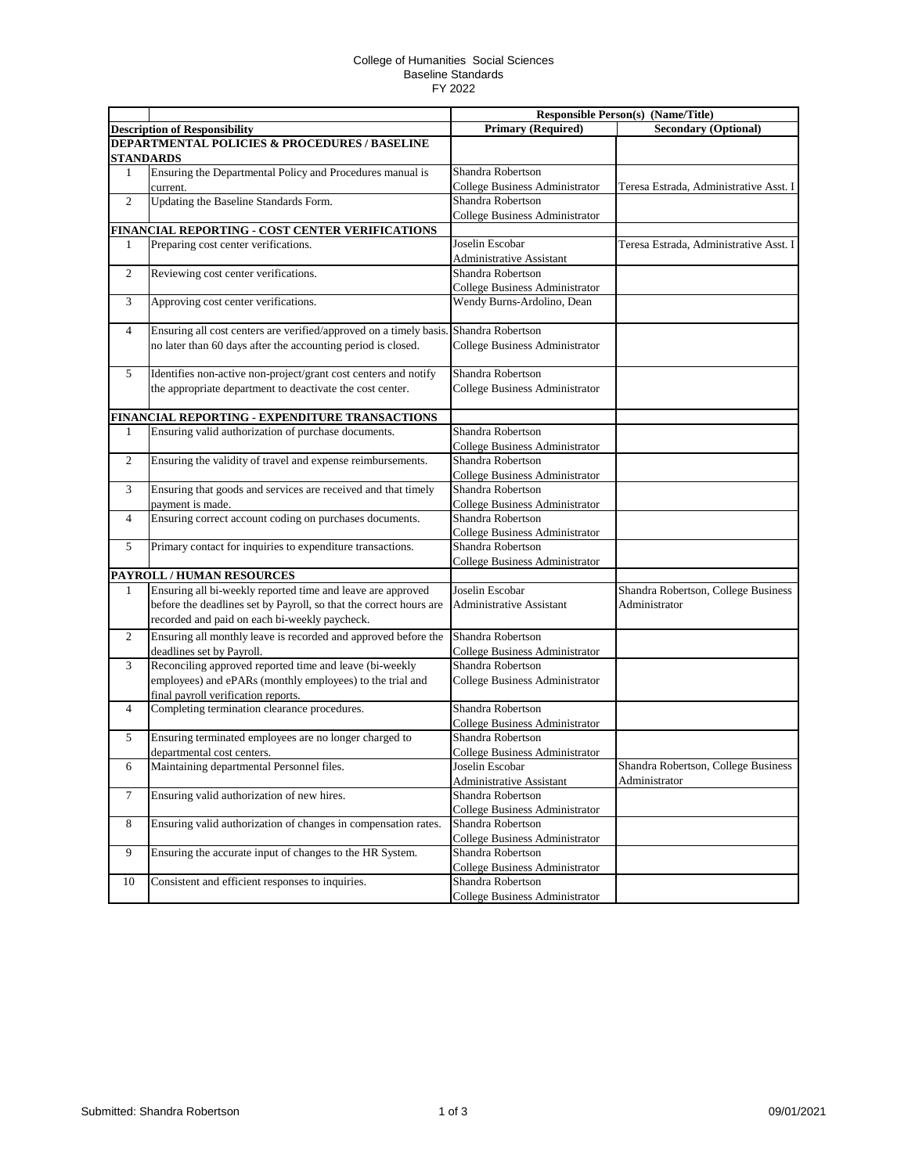## College of Humanities Social Sciences Baseline Standards FY 2022

|                |                                                                                      |                                                            | <b>Responsible Person(s) (Name/Title)</b> |
|----------------|--------------------------------------------------------------------------------------|------------------------------------------------------------|-------------------------------------------|
|                | <b>Description of Responsibility</b>                                                 | <b>Primary (Required)</b>                                  | <b>Secondary (Optional)</b>               |
|                | <b>DEPARTMENTAL POLICIES &amp; PROCEDURES / BASELINE</b>                             |                                                            |                                           |
|                | <b>STANDARDS</b>                                                                     |                                                            |                                           |
| 1              | Ensuring the Departmental Policy and Procedures manual is                            | Shandra Robertson                                          |                                           |
|                | current.                                                                             | College Business Administrator                             | Teresa Estrada, Administrative Asst. I    |
| $\overline{2}$ | Updating the Baseline Standards Form.                                                | Shandra Robertson                                          |                                           |
|                |                                                                                      | College Business Administrator                             |                                           |
|                | FINANCIAL REPORTING - COST CENTER VERIFICATIONS                                      |                                                            |                                           |
| 1              | Preparing cost center verifications.                                                 | Joselin Escobar                                            | Teresa Estrada, Administrative Asst. I    |
|                |                                                                                      | <b>Administrative Assistant</b>                            |                                           |
| $\overline{c}$ | Reviewing cost center verifications.                                                 | Shandra Robertson                                          |                                           |
|                |                                                                                      | College Business Administrator                             |                                           |
| 3              | Approving cost center verifications.                                                 | Wendy Burns-Ardolino, Dean                                 |                                           |
| 4              | Ensuring all cost centers are verified/approved on a timely basis. Shandra Robertson |                                                            |                                           |
|                | no later than 60 days after the accounting period is closed.                         | College Business Administrator                             |                                           |
| 5              | Identifies non-active non-project/grant cost centers and notify                      | Shandra Robertson                                          |                                           |
|                | the appropriate department to deactivate the cost center.                            | College Business Administrator                             |                                           |
|                |                                                                                      |                                                            |                                           |
|                | FINANCIAL REPORTING - EXPENDITURE TRANSACTIONS                                       |                                                            |                                           |
| 1              | Ensuring valid authorization of purchase documents.                                  | Shandra Robertson                                          |                                           |
| $\mathfrak{2}$ | Ensuring the validity of travel and expense reimbursements.                          | College Business Administrator<br>Shandra Robertson        |                                           |
|                |                                                                                      |                                                            |                                           |
| 3              |                                                                                      | <b>College Business Administrator</b><br>Shandra Robertson |                                           |
|                | Ensuring that goods and services are received and that timely<br>payment is made.    | College Business Administrator                             |                                           |
| $\overline{4}$ | Ensuring correct account coding on purchases documents.                              | Shandra Robertson                                          |                                           |
|                |                                                                                      | College Business Administrator                             |                                           |
| 5              | Primary contact for inquiries to expenditure transactions.                           | Shandra Robertson                                          |                                           |
|                |                                                                                      | <b>College Business Administrator</b>                      |                                           |
|                | PAYROLL / HUMAN RESOURCES                                                            |                                                            |                                           |
| 1              | Ensuring all bi-weekly reported time and leave are approved                          | Joselin Escobar                                            | Shandra Robertson, College Business       |
|                | before the deadlines set by Payroll, so that the correct hours are                   | <b>Administrative Assistant</b>                            | Administrator                             |
|                | recorded and paid on each bi-weekly paycheck.                                        |                                                            |                                           |
| $\mathfrak{2}$ | Ensuring all monthly leave is recorded and approved before the                       | Shandra Robertson                                          |                                           |
|                | deadlines set by Payroll.                                                            | College Business Administrator                             |                                           |
| 3              | Reconciling approved reported time and leave (bi-weekly                              | Shandra Robertson                                          |                                           |
|                | employees) and ePARs (monthly employees) to the trial and                            | College Business Administrator                             |                                           |
|                | final payroll verification reports.                                                  |                                                            |                                           |
| $\overline{4}$ | Completing termination clearance procedures.                                         | Shandra Robertson                                          |                                           |
|                |                                                                                      | <b>College Business Administrator</b>                      |                                           |
| 5              | Ensuring terminated employees are no longer charged to                               | Shandra Robertson                                          |                                           |
|                | departmental cost centers.                                                           | <b>College Business Administrator</b>                      |                                           |
| 6              | Maintaining departmental Personnel files.                                            | Joselin Escobar                                            | Shandra Robertson, College Business       |
|                |                                                                                      | <b>Administrative Assistant</b>                            | Administrator                             |
| 7              | Ensuring valid authorization of new hires.                                           | Shandra Robertson                                          |                                           |
|                |                                                                                      | College Business Administrator                             |                                           |
| $8\,$          | Ensuring valid authorization of changes in compensation rates.                       | Shandra Robertson                                          |                                           |
|                |                                                                                      | College Business Administrator                             |                                           |
| 9              | Ensuring the accurate input of changes to the HR System.                             | Shandra Robertson                                          |                                           |
|                |                                                                                      | College Business Administrator                             |                                           |
| 10             | Consistent and efficient responses to inquiries.                                     | Shandra Robertson                                          |                                           |
|                |                                                                                      | College Business Administrator                             |                                           |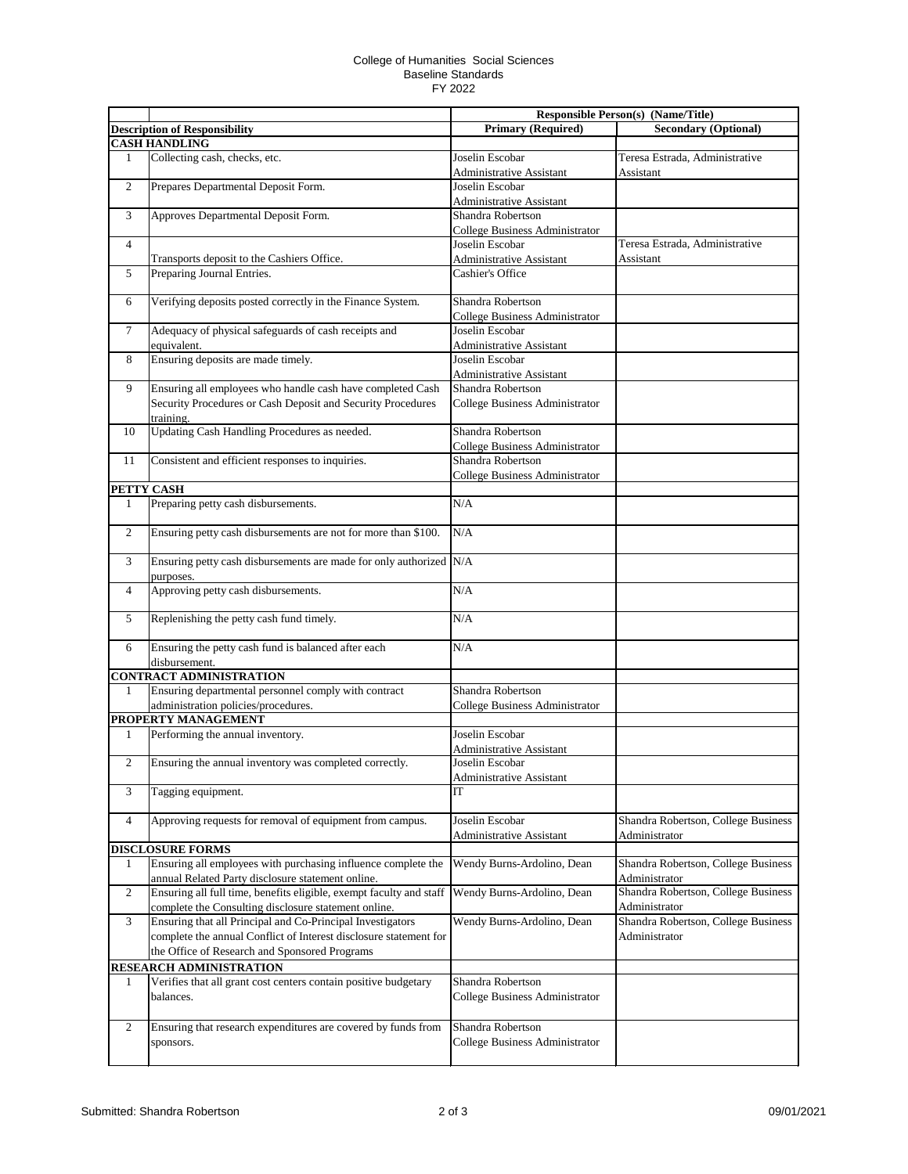## College of Humanities Social Sciences Baseline Standards FY 2022

|                  |                                                                                                                          | <b>Responsible Person(s) (Name/Title)</b> |                                     |
|------------------|--------------------------------------------------------------------------------------------------------------------------|-------------------------------------------|-------------------------------------|
|                  | <b>Description of Responsibility</b>                                                                                     | <b>Primary (Required)</b>                 | <b>Secondary (Optional)</b>         |
|                  | <b>CASH HANDLING</b>                                                                                                     |                                           |                                     |
| 1                | Collecting cash, checks, etc.                                                                                            | Joselin Escobar                           | Teresa Estrada, Administrative      |
|                  |                                                                                                                          | Administrative Assistant                  | Assistant                           |
| $\boldsymbol{2}$ | Prepares Departmental Deposit Form.                                                                                      | Joselin Escobar                           |                                     |
|                  |                                                                                                                          | Administrative Assistant                  |                                     |
| 3                | Approves Departmental Deposit Form.                                                                                      | Shandra Robertson                         |                                     |
|                  |                                                                                                                          | College Business Administrator            |                                     |
| $\overline{4}$   |                                                                                                                          | Joselin Escobar                           | Teresa Estrada, Administrative      |
|                  | Transports deposit to the Cashiers Office.                                                                               | <b>Administrative Assistant</b>           | Assistant                           |
| 5                | Preparing Journal Entries.                                                                                               | Cashier's Office                          |                                     |
|                  |                                                                                                                          |                                           |                                     |
| 6                | Verifying deposits posted correctly in the Finance System.                                                               | Shandra Robertson                         |                                     |
|                  |                                                                                                                          | College Business Administrator            |                                     |
| $\tau$           | Adequacy of physical safeguards of cash receipts and                                                                     | Joselin Escobar                           |                                     |
|                  | equivalent.                                                                                                              | <b>Administrative Assistant</b>           |                                     |
| 8                | Ensuring deposits are made timely.                                                                                       | Joselin Escobar                           |                                     |
|                  |                                                                                                                          | Administrative Assistant                  |                                     |
| 9                | Ensuring all employees who handle cash have completed Cash                                                               | Shandra Robertson                         |                                     |
|                  | Security Procedures or Cash Deposit and Security Procedures                                                              | College Business Administrator            |                                     |
|                  | training.                                                                                                                |                                           |                                     |
| 10               | Updating Cash Handling Procedures as needed.                                                                             | Shandra Robertson                         |                                     |
|                  |                                                                                                                          | College Business Administrator            |                                     |
| 11               | Consistent and efficient responses to inquiries.                                                                         | Shandra Robertson                         |                                     |
|                  |                                                                                                                          | College Business Administrator            |                                     |
| PETTY CASH       |                                                                                                                          |                                           |                                     |
| $\mathbf{1}$     | Preparing petty cash disbursements.                                                                                      | N/A                                       |                                     |
|                  |                                                                                                                          |                                           |                                     |
| $\boldsymbol{2}$ | Ensuring petty cash disbursements are not for more than \$100.                                                           | N/A                                       |                                     |
|                  |                                                                                                                          |                                           |                                     |
| 3                | Ensuring petty cash disbursements are made for only authorized N/A                                                       |                                           |                                     |
|                  | purposes.                                                                                                                |                                           |                                     |
| $\overline{4}$   | Approving petty cash disbursements.                                                                                      | N/A                                       |                                     |
|                  |                                                                                                                          |                                           |                                     |
| 5                | Replenishing the petty cash fund timely.                                                                                 | N/A                                       |                                     |
|                  |                                                                                                                          |                                           |                                     |
| 6                | Ensuring the petty cash fund is balanced after each                                                                      | N/A                                       |                                     |
|                  | disbursement.                                                                                                            |                                           |                                     |
|                  | <b>CONTRACT ADMINISTRATION</b>                                                                                           |                                           |                                     |
| 1                | Ensuring departmental personnel comply with contract                                                                     | Shandra Robertson                         |                                     |
|                  | administration policies/procedures.                                                                                      | College Business Administrator            |                                     |
|                  | PROPERTY MANAGEMENT                                                                                                      |                                           |                                     |
| 1                | Performing the annual inventory.                                                                                         | Joselin Escobar                           |                                     |
|                  |                                                                                                                          | Administrative Assistant                  |                                     |
| 2                | Ensuring the annual inventory was completed correctly.                                                                   | Joselin Escobar                           |                                     |
|                  |                                                                                                                          | Administrative Assistant                  |                                     |
| 3                | Tagging equipment.                                                                                                       | IT                                        |                                     |
|                  |                                                                                                                          |                                           |                                     |
| 4                | Approving requests for removal of equipment from campus.                                                                 | Joselin Escobar                           | Shandra Robertson, College Business |
|                  | <b>DISCLOSURE FORMS</b>                                                                                                  | <b>Administrative Assistant</b>           | Administrator                       |
|                  |                                                                                                                          |                                           | Shandra Robertson, College Business |
| 1                | Ensuring all employees with purchasing influence complete the                                                            | Wendy Burns-Ardolino, Dean                | Administrator                       |
| 2                | annual Related Party disclosure statement online.<br>Ensuring all full time, benefits eligible, exempt faculty and staff | Wendy Burns-Ardolino, Dean                | Shandra Robertson, College Business |
|                  |                                                                                                                          |                                           | Administrator                       |
| 3                | complete the Consulting disclosure statement online.<br>Ensuring that all Principal and Co-Principal Investigators       | Wendy Burns-Ardolino, Dean                | Shandra Robertson, College Business |
|                  | complete the annual Conflict of Interest disclosure statement for                                                        |                                           | Administrator                       |
|                  |                                                                                                                          |                                           |                                     |
|                  | the Office of Research and Sponsored Programs                                                                            |                                           |                                     |
|                  | <b>RESEARCH ADMINISTRATION</b>                                                                                           |                                           |                                     |
| 1                | Verifies that all grant cost centers contain positive budgetary                                                          | Shandra Robertson                         |                                     |
|                  | balances.                                                                                                                | College Business Administrator            |                                     |
|                  |                                                                                                                          |                                           |                                     |
| $\mathbf{2}$     | Ensuring that research expenditures are covered by funds from                                                            | Shandra Robertson                         |                                     |
|                  | sponsors.                                                                                                                | College Business Administrator            |                                     |
|                  |                                                                                                                          |                                           |                                     |